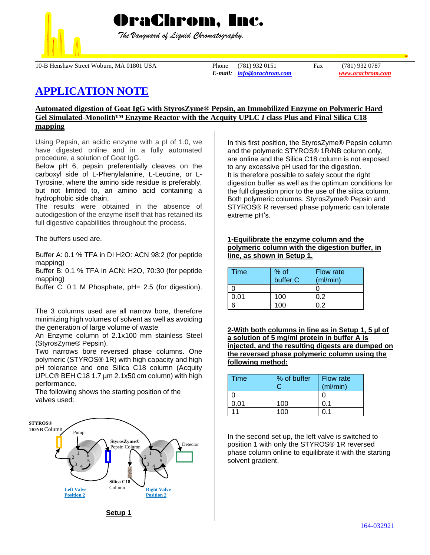

 *The Vanguard of Liquid Chromatography.*

10-B Henshaw Street Woburn, MA 01801 USA Phone (781) 932 0151 Fax (781) 932 0787

*E-mail: [info@orachrom.com](mailto:info@orachrom.com) www.orachrom.com*

# **APPLICATION NOTE**

## **Automated digestion of Goat IgG with StyrosZyme® Pepsin, an Immobilized Enzyme on Polymeric Hard Gel Simulated-Monolith™ Enzyme Reactor with the Acquity UPLC** *I* **class Plus and Final Silica C18 mapping**

Using Pepsin, an acidic enzyme with a pI of 1.0, we have digested online and in a fully automated procedure, a solution of Goat IgG.

Below pH 6, pepsin preferentially cleaves on the carboxyl side of L-Phenylalanine, L-Leucine, or L-Tyrosine, where the amino side residue is preferably, but not limited to, an amino acid containing a hydrophobic side chain.

The results were obtained in the absence of autodigestion of the enzyme itself that has retained its full digestive capabilities throughout the process.

The buffers used are.

Buffer A: 0.1 % TFA in DI H2O: ACN 98:2 (for peptide mapping)

Buffer B: 0.1 % TFA in ACN: H2O, 70:30 (for peptide mapping)

Buffer C: 0.1 M Phosphate, pH= 2.5 (for digestion).

The 3 columns used are all narrow bore, therefore minimizing high volumes of solvent as well as avoiding the generation of large volume of waste

An Enzyme column of 2.1x100 mm stainless Steel (StyrosZyme® Pepsin).

Two narrows bore reversed phase columns. One polymeric (STYROS® 1R) with high capacity and high pH tolerance and one Silica C18 column (Acquity UPLC® BEH C18 1.7 µm 2.1x50 cm column) with high performance.

The following shows the starting position of the valves used:



In this first position, the StyrosZyme® Pepsin column and the polymeric STYROS® 1R/NB column only, are online and the Silica C18 column is not exposed to any excessive pH used for the digestion. It is therefore possible to safely scout the right digestion buffer as well as the optimum conditions for the full digestion prior to the use of the silica column. Both polymeric columns, StyrosZyme® Pepsin and STYROS® R reversed phase polymeric can tolerate extreme pH's.

#### **1-Equilibrate the enzyme column and the polymeric column with the digestion buffer, in line, as shown in Setup 1.**

| Time | % of<br>buffer C | <b>Flow rate</b><br>(ml/min) |
|------|------------------|------------------------------|
|      |                  |                              |
| ი ი1 | 100              |                              |
|      | 100              |                              |

**2-With both columns in line as in Setup 1, 5 µl of a solution of 5 mg/ml protein in buffer A is injected, and the resulting digests are dumped on the reversed phase polymeric column using the following method:**

| Time | % of buffer | Flow rate<br>(ml/min) |
|------|-------------|-----------------------|
|      |             |                       |
| 0.01 | 100         | 0.1                   |
| 11   | 100         |                       |

In the second set up, the left valve is switched to position 1 with only the STYROS® 1R reversed phase column online to equilibrate it with the starting solvent gradient.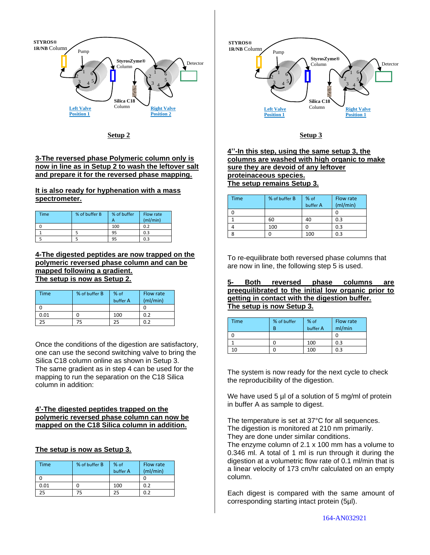

**Setup 2**

## **3-The reversed phase Polymeric column only is now in line as in Setup 2 to wash the leftover salt and prepare it for the reversed phase mapping.**

**It is also ready for hyphenation with a mass spectrometer.** 

| Time | % of buffer B | % of buffer | Flow rate<br>(mI/min) |
|------|---------------|-------------|-----------------------|
|      |               | 100         | 0.2                   |
|      |               | 95          | 0.3                   |
|      |               |             | 0.3                   |

#### **4-The digested peptides are now trapped on the polymeric reversed phase column and can be mapped following a gradient. The setup is now as Setup 2.**

| Time | % of buffer B | $%$ of<br>buffer A | Flow rate<br>(mI/min) |
|------|---------------|--------------------|-----------------------|
|      |               |                    |                       |
| 0.01 |               | 100                | 0.2                   |
| 25   | 75            | 25                 | 0.2                   |

Once the conditions of the digestion are satisfactory, one can use the second switching valve to bring the Silica C18 column online as shown in Setup 3. The same gradient as in step 4 can be used for the mapping to run the separation on the C18 Silica column in addition:

### **4'-The digested peptides trapped on the polymeric reversed phase column can now be mapped on the C18 Silica column in addition.**

# **The setup is now as Setup 3.**

| <b>Time</b> | % of buffer B | % of<br>buffer A | Flow rate<br>(mI/min) |
|-------------|---------------|------------------|-----------------------|
|             |               |                  |                       |
| 0.01        |               | 100              | 0.2                   |
| 25          | 75            | 25               | 0.2                   |



#### **Setup 3**

**4''-In this step, using the same setup 3, the columns are washed with high organic to make sure they are devoid of any leftover proteinaceous species. The setup remains Setup 3.**

| <b>Time</b> | % of buffer B | % of<br>buffer A | Flow rate<br>(mI/min) |
|-------------|---------------|------------------|-----------------------|
|             |               |                  |                       |
|             | 60            | 40               | 0.3                   |
|             | 100           |                  | 0.3                   |
|             |               | 100              | 0.3                   |

To re-equilibrate both reversed phase columns that are now in line, the following step 5 is used.

**5- Both reversed phase columns are preequilibrated to the initial low organic prior to getting in contact with the digestion buffer. The setup is now Setup 3.**

| <b>Time</b> | % of buffer | % of<br>buffer A | Flow rate<br>ml/min |
|-------------|-------------|------------------|---------------------|
|             |             |                  |                     |
|             |             | 100              | 0.3                 |
|             |             | 100              | 0.3                 |

The system is now ready for the next cycle to check the reproducibility of the digestion.

We have used 5 µl of a solution of 5 mg/ml of protein in buffer A as sample to digest.

The temperature is set at 37°C for all sequences. The digestion is monitored at 210 nm primarily. They are done under similar conditions.

The enzyme column of 2.1 x 100 mm has a volume to 0.346 ml. A total of 1 ml is run through it during the digestion at a volumetric flow rate of 0.1 ml/min that is a linear velocity of 173 cm/hr calculated on an empty column.

Each digest is compared with the same amount of corresponding starting intact protein (5µl).